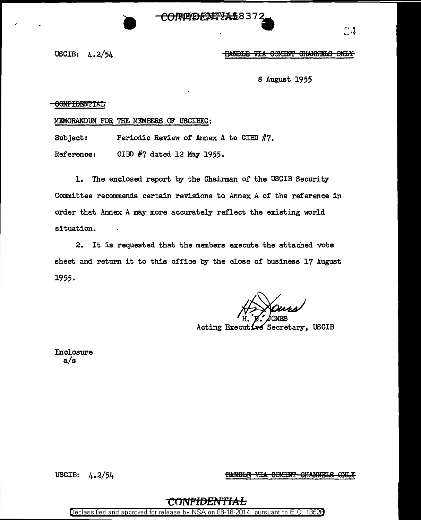**CONNEDENTYAL8372** 

r' <sup>~</sup> ..... ·f

USCIB: 4.2/54

## **HANDLE VIA COMINT CHANNELS ONLY**

S August 1955

CONFIDENTIAL

MEMORANDUM FOR THE MEMBERS OF USCIBEC:

**•** 

Subject: Periodic Review of Annex A to CIBD #7.

Reference: CIBD #7 dated 12 May 1955.

1. The enclosed report by the Chairman of the USCIB Security Committee recommends certain revisions to Annex A of the reference in order that Annex A may more accurately reflect the existing world situation.

2. It is requested that the members execute the attached vote sheet and return it to this office by the close of business 17 August 1955.

Acting Executive Secretary, USCIB

Enclosure a/s

USCIB: 4.2/54

**HANDLE VIA COMINT CHANNELS ONLY** 

## CONFIDEI

Declassified and approved for release by NSA on 08-18-2014 pursuant to E. 0. 1352B